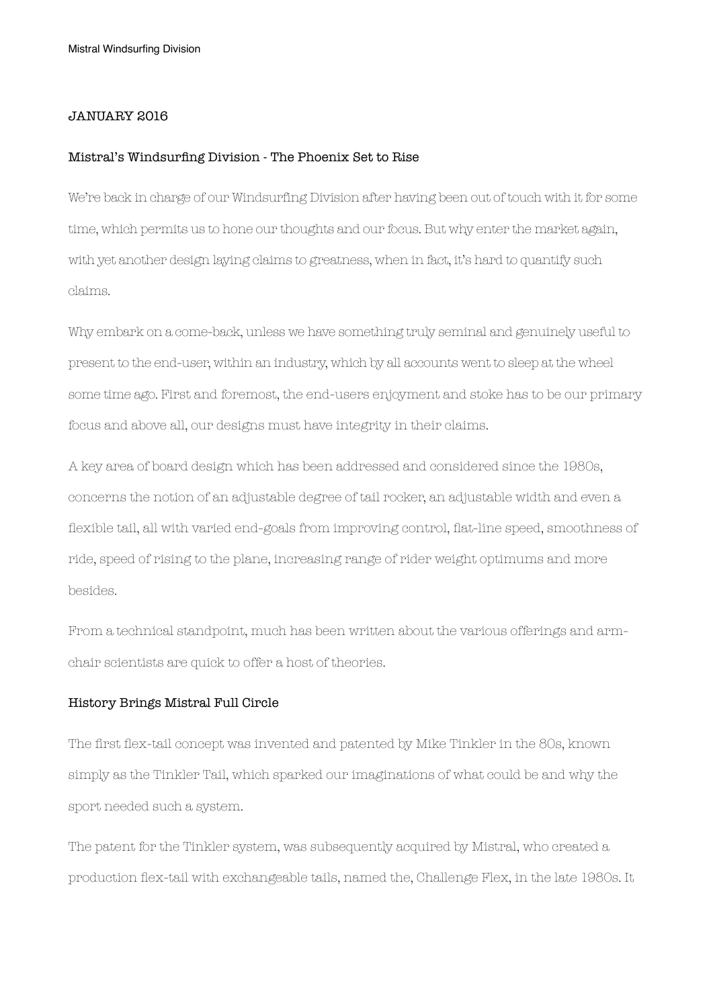### JANUARY 2016

#### Mistral's Windsurfing Division - The Phoenix Set to Rise

We're back in charge of our Windsurfing Division after having been out of touch with it for some time, which permits us to hone our thoughts and our focus. But why enter the market again, with yet another design laying claims to greatness, when in fact, it's hard to quantify such claims.

Why embark on a come-back, unless we have something truly seminal and genuinely useful to present to the end-user, within an industry, which by all accounts went to sleep at the wheel some time ago. First and foremost, the end-users enjoyment and stoke has to be our primary focus and above all, our designs must have integrity in their claims.

A key area of board design which has been addressed and considered since the 1980s, concerns the notion of an adjustable degree of tail rocker, an adjustable width and even a flexible tail, all with varied end-goals from improving control, flat-line speed, smoothness of ride, speed of rising to the plane, increasing range of rider weight optimums and more besides.

From a technical standpoint, much has been written about the various offerings and armchair scientists are quick to offer a host of theories.

# History Brings Mistral Full Circle

The first flex-tail concept was invented and patented by Mike Tinkler in the 80s, known simply as the Tinkler Tail, which sparked our imaginations of what could be and why the sport needed such a system.

The patent for the Tinkler system, was subsequently acquired by Mistral, who created a production flex-tail with exchangeable tails, named the, Challenge Flex, in the late 1980s. It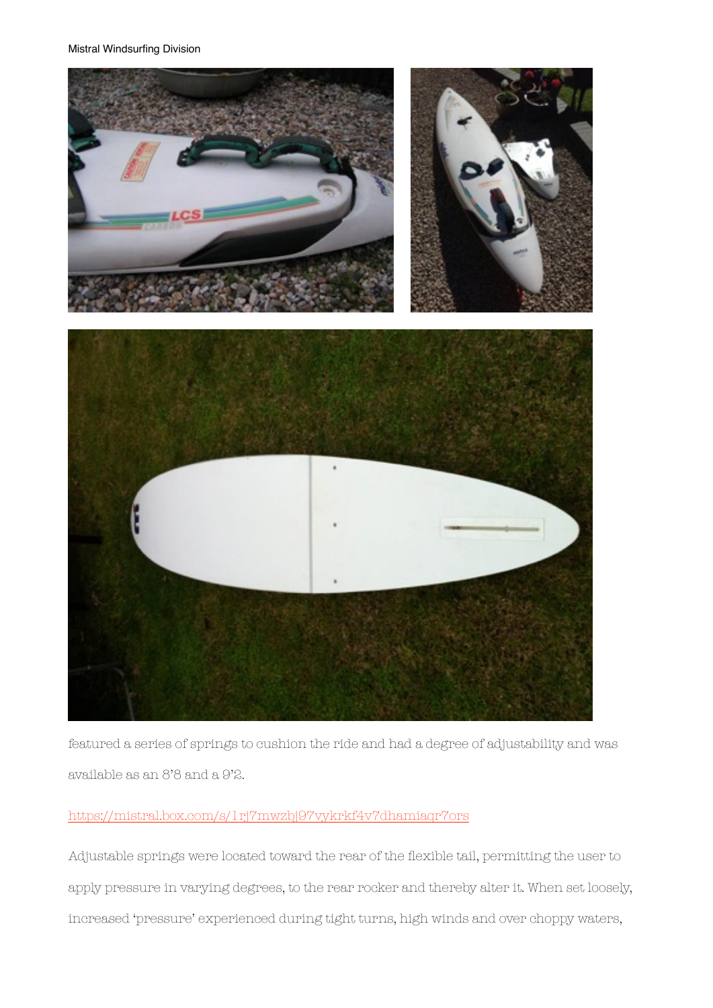

featured a series of springs to cushion the ride and had a degree of adjustability and was available as an 8'8 and a 9'2.

# <https://mistral.box.com/s/1rj7mwzbj97vykrkf4v7dhamiaqr7ors>

Adjustable springs were located toward the rear of the flexible tail, permitting the user to apply pressure in varying degrees, to the rear rocker and thereby alter it. When set loosely, increased 'pressure' experienced during tight turns, high winds and over choppy waters,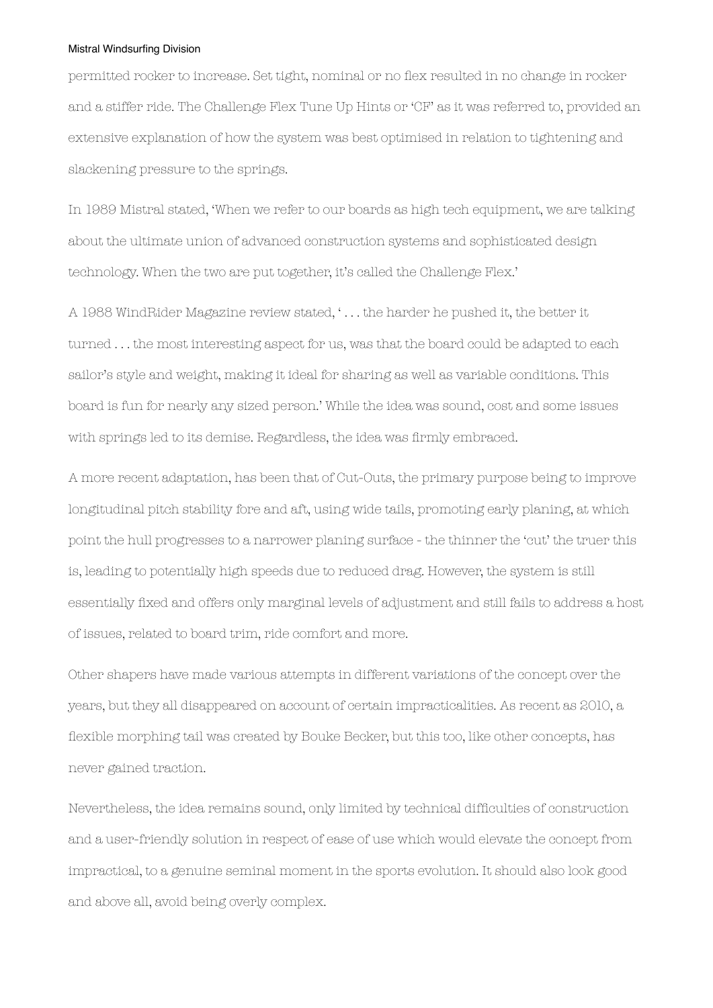permitted rocker to increase. Set tight, nominal or no flex resulted in no change in rocker and a stiffer ride. The Challenge Flex Tune Up Hints or 'CF' as it was referred to, provided an extensive explanation of how the system was best optimised in relation to tightening and slackening pressure to the springs.

In 1989 Mistral stated, 'When we refer to our boards as high tech equipment, we are talking about the ultimate union of advanced construction systems and sophisticated design technology. When the two are put together, it's called the Challenge Flex.'

A 1988 WindRider Magazine review stated, ' . . . the harder he pushed it, the better it turned . . . the most interesting aspect for us, was that the board could be adapted to each sailor's style and weight, making it ideal for sharing as well as variable conditions. This board is fun for nearly any sized person.' While the idea was sound, cost and some issues with springs led to its demise. Regardless, the idea was firmly embraced.

A more recent adaptation, has been that of Cut-Outs, the primary purpose being to improve longitudinal pitch stability fore and aft, using wide tails, promoting early planing, at which point the hull progresses to a narrower planing surface - the thinner the 'cut' the truer this is, leading to potentially high speeds due to reduced drag. However, the system is still essentially fixed and offers only marginal levels of adjustment and still fails to address a host of issues, related to board trim, ride comfort and more.

Other shapers have made various attempts in different variations of the concept over the years, but they all disappeared on account of certain impracticalities. As recent as 2010, a flexible morphing tail was created by Bouke Becker, but this too, like other concepts, has never gained traction.

Nevertheless, the idea remains sound, only limited by technical difficulties of construction and a user-friendly solution in respect of ease of use which would elevate the concept from impractical, to a genuine seminal moment in the sports evolution. It should also look good and above all, avoid being overly complex.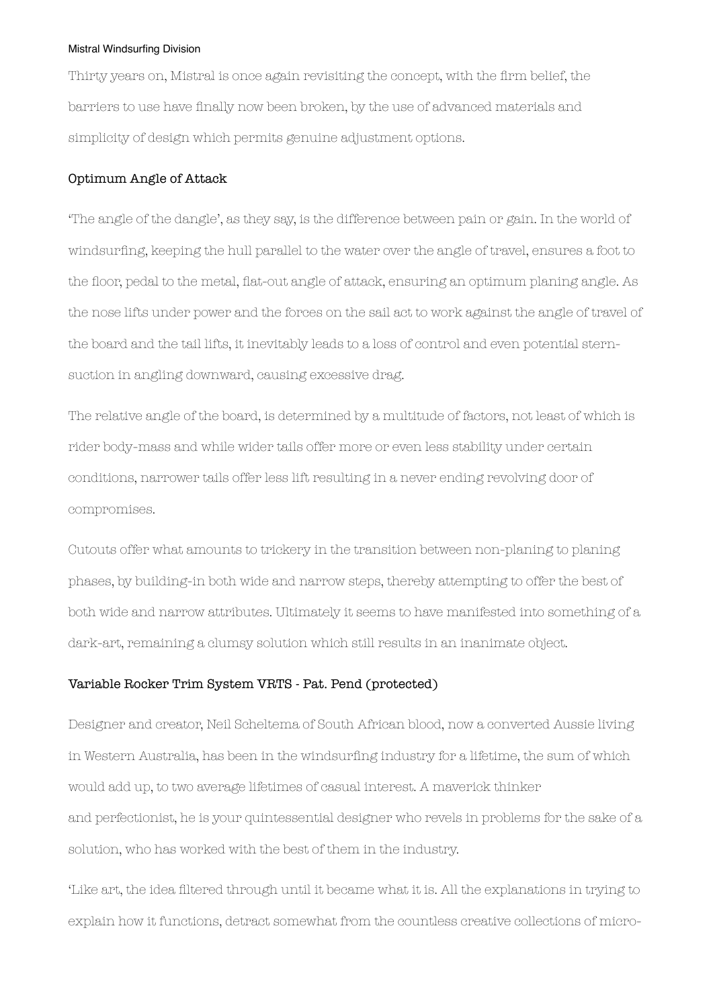Thirty years on, Mistral is once again revisiting the concept, with the firm belief, the barriers to use have finally now been broken, by the use of advanced materials and simplicity of design which permits genuine adjustment options.

# Optimum Angle of Attack

'The angle of the dangle', as they say, is the difference between pain or gain. In the world of windsurfing, keeping the hull parallel to the water over the angle of travel, ensures a foot to the floor, pedal to the metal, flat-out angle of attack, ensuring an optimum planing angle. As the nose lifts under power and the forces on the sail act to work against the angle of travel of the board and the tail lifts, it inevitably leads to a loss of control and even potential sternsuction in angling downward, causing excessive drag.

The relative angle of the board, is determined by a multitude of factors, not least of which is rider body-mass and while wider tails offer more or even less stability under certain conditions, narrower tails offer less lift resulting in a never ending revolving door of compromises.

Cutouts offer what amounts to trickery in the transition between non-planing to planing phases, by building-in both wide and narrow steps, thereby attempting to offer the best of both wide and narrow attributes. Ultimately it seems to have manifested into something of a dark-art, remaining a clumsy solution which still results in an inanimate object.

# Variable Rocker Trim System VRTS - Pat. Pend (protected)

Designer and creator, Neil Scheltema of South African blood, now a converted Aussie living in Western Australia, has been in the windsurfing industry for a lifetime, the sum of which would add up, to two average lifetimes of casual interest. A maverick thinker and perfectionist, he is your quintessential designer who revels in problems for the sake of a solution, who has worked with the best of them in the industry.

'Like art, the idea filtered through until it became what it is. All the explanations in trying to explain how it functions, detract somewhat from the countless creative collections of micro-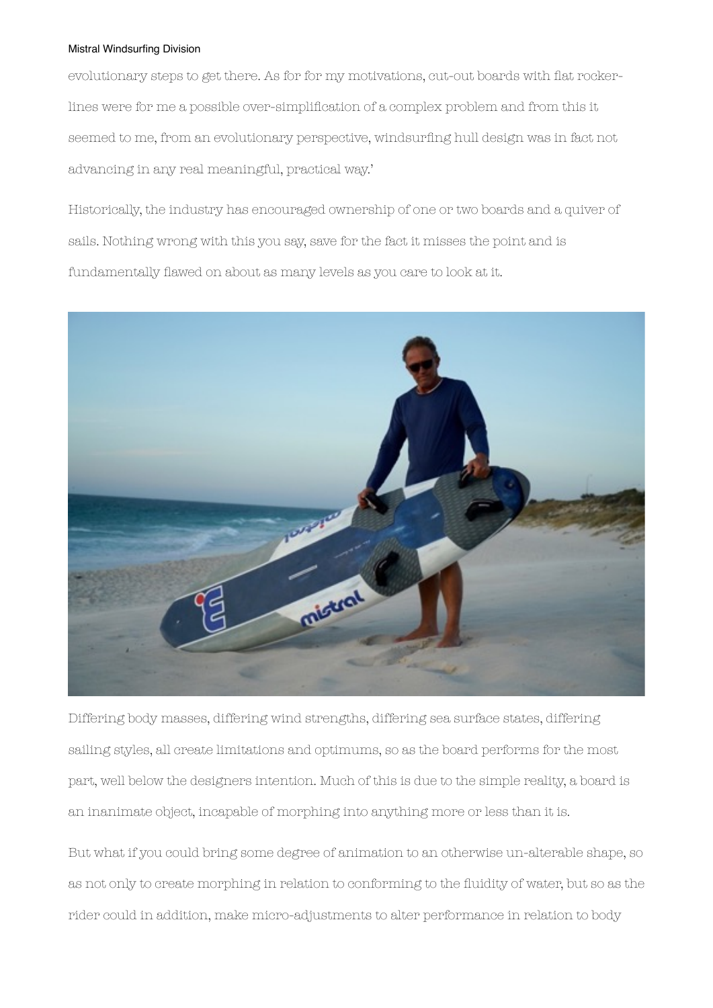evolutionary steps to get there. As for for my motivations, cut-out boards with flat rockerlines were for me a possible over-simplification of a complex problem and from this it seemed to me, from an evolutionary perspective, windsurfing hull design was in fact not advancing in any real meaningful, practical way.'

Historically, the industry has encouraged ownership of one or two boards and a quiver of sails. Nothing wrong with this you say, save for the fact it misses the point and is fundamentally flawed on about as many levels as you care to look at it.



Differing body masses, differing wind strengths, differing sea surface states, differing sailing styles, all create limitations and optimums, so as the board performs for the most part, well below the designers intention. Much of this is due to the simple reality, a board is an inanimate object, incapable of morphing into anything more or less than it is.

But what if you could bring some degree of animation to an otherwise un-alterable shape, so as not only to create morphing in relation to conforming to the fluidity of water, but so as the rider could in addition, make micro-adjustments to alter performance in relation to body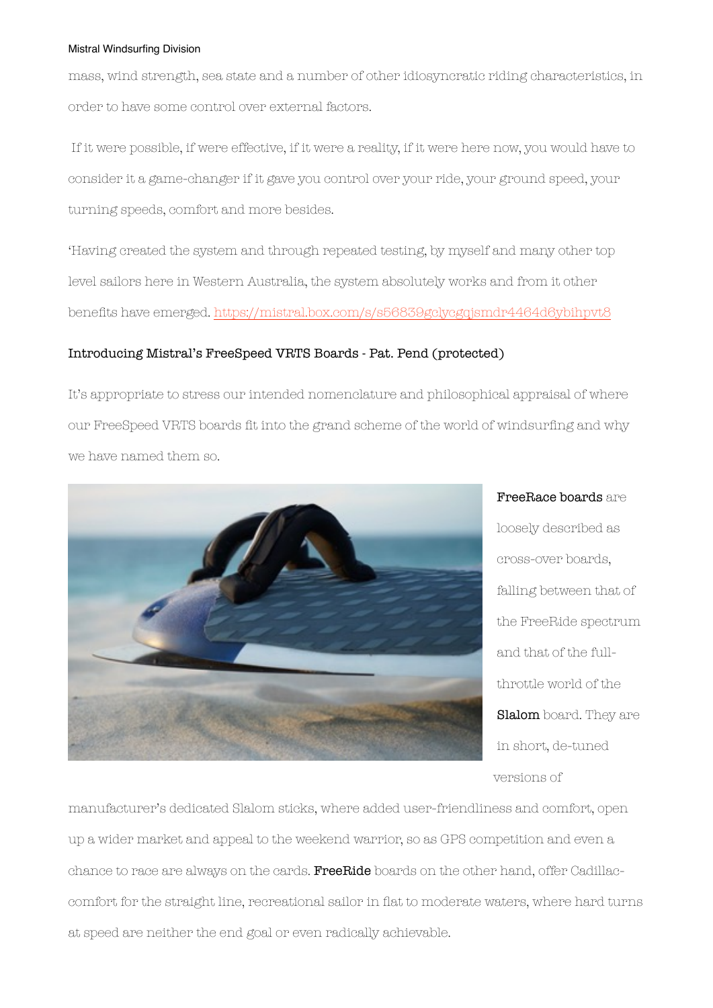mass, wind strength, sea state and a number of other idiosyncratic riding characteristics, in order to have some control over external factors.

If it were possible, if were effective, if it were a reality, if it were here now, you would have to consider it a game-changer if it gave you control over your ride, your ground speed, your turning speeds, comfort and more besides.

'Having created the system and through repeated testing, by myself and many other top level sailors here in Western Australia, the system absolutely works and from it other benefits have emerged.<https://mistral.box.com/s/s56839gclycgqjsmdr4464d6ybihpvt8>

# Introducing Mistral's FreeSpeed VRTS Boards - Pat. Pend (protected)

It's appropriate to stress our intended nomenclature and philosophical appraisal of where our FreeSpeed VRTS boards fit into the grand scheme of the world of windsurfing and why we have named them so.



FreeRace boards are loosely described as cross-over boards, falling between that of the FreeRide spectrum and that of the fullthrottle world of the Slalom board. They are in short, de-tuned versions of

manufacturer's dedicated Slalom sticks, where added user-friendliness and comfort, open up a wider market and appeal to the weekend warrior, so as GPS competition and even a chance to race are always on the cards. FreeRide boards on the other hand, offer Cadillaccomfort for the straight line, recreational sailor in flat to moderate waters, where hard turns at speed are neither the end goal or even radically achievable.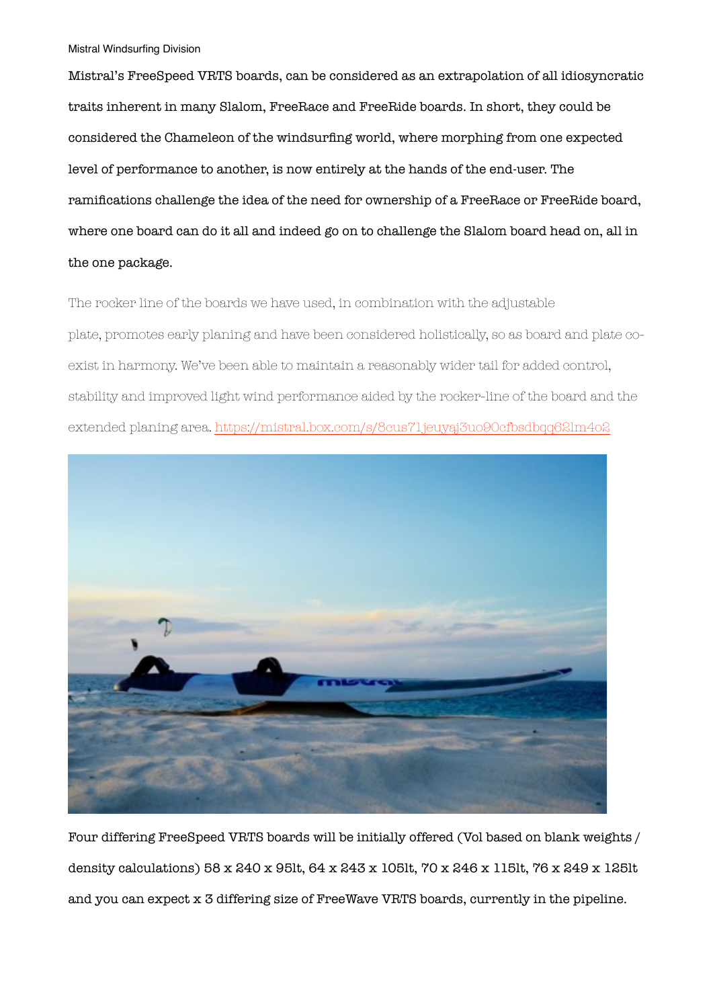Mistral's FreeSpeed VRTS boards, can be considered as an extrapolation of all idiosyncratic traits inherent in many Slalom, FreeRace and FreeRide boards. In short, they could be considered the Chameleon of the windsurfing world, where morphing from one expected level of performance to another, is now entirely at the hands of the end-user. The ramifications challenge the idea of the need for ownership of a FreeRace or FreeRide board, where one board can do it all and indeed go on to challenge the Slalom board head on, all in the one package.

The rocker line of the boards we have used, in combination with the adjustable plate, promotes early planing and have been considered holistically, so as board and plate coexist in harmony. We've been able to maintain a reasonably wider tail for added control, stability and improved light wind performance aided by the rocker-line of the board and the extended planing area.<https://mistral.box.com/s/8cus71jeuyaj3uo90cfbsdbqq62lm4o2>



Four differing FreeSpeed VRTS boards will be initially offered (Vol based on blank weights / density calculations) 58 x 240 x 95lt, 64 x 243 x 105lt, 70 x 246 x 115lt, 76 x 249 x 125lt and you can expect x 3 differing size of FreeWave VRTS boards, currently in the pipeline.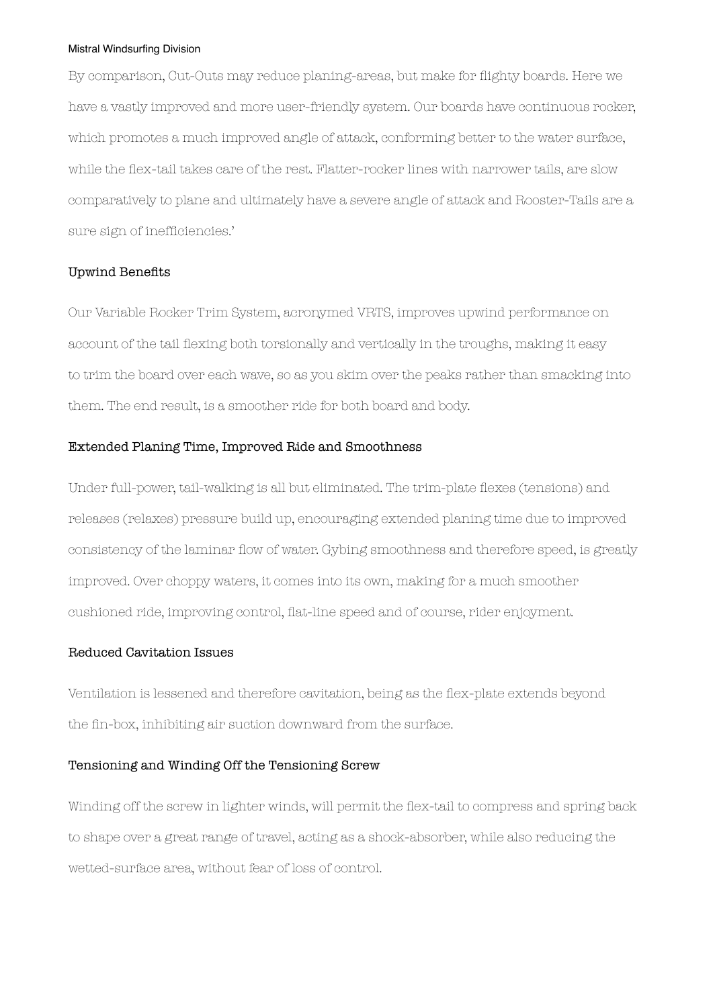By comparison, Cut-Outs may reduce planing-areas, but make for flighty boards. Here we have a vastly improved and more user-friendly system. Our boards have continuous rocker, which promotes a much improved angle of attack, conforming better to the water surface, while the flex-tail takes care of the rest. Flatter-rocker lines with narrower tails, are slow comparatively to plane and ultimately have a severe angle of attack and Rooster-Tails are a sure sign of inefficiencies.'

# Upwind Benefits

Our Variable Rocker Trim System, acronymed VRTS, improves upwind performance on account of the tail flexing both torsionally and vertically in the troughs, making it easy to trim the board over each wave, so as you skim over the peaks rather than smacking into them. The end result, is a smoother ride for both board and body.

### Extended Planing Time, Improved Ride and Smoothness

Under full-power, tail-walking is all but eliminated. The trim-plate flexes (tensions) and releases (relaxes) pressure build up, encouraging extended planing time due to improved consistency of the laminar flow of water. Gybing smoothness and therefore speed, is greatly improved. Over choppy waters, it comes into its own, making for a much smoother cushioned ride, improving control, flat-line speed and of course, rider enjoyment.

# Reduced Cavitation Issues

Ventilation is lessened and therefore cavitation, being as the flex-plate extends beyond the fin-box, inhibiting air suction downward from the surface.

### Tensioning and Winding Off the Tensioning Screw

Winding off the screw in lighter winds, will permit the flex-tail to compress and spring back to shape over a great range of travel, acting as a shock-absorber, while also reducing the wetted-surface area, without fear of loss of control.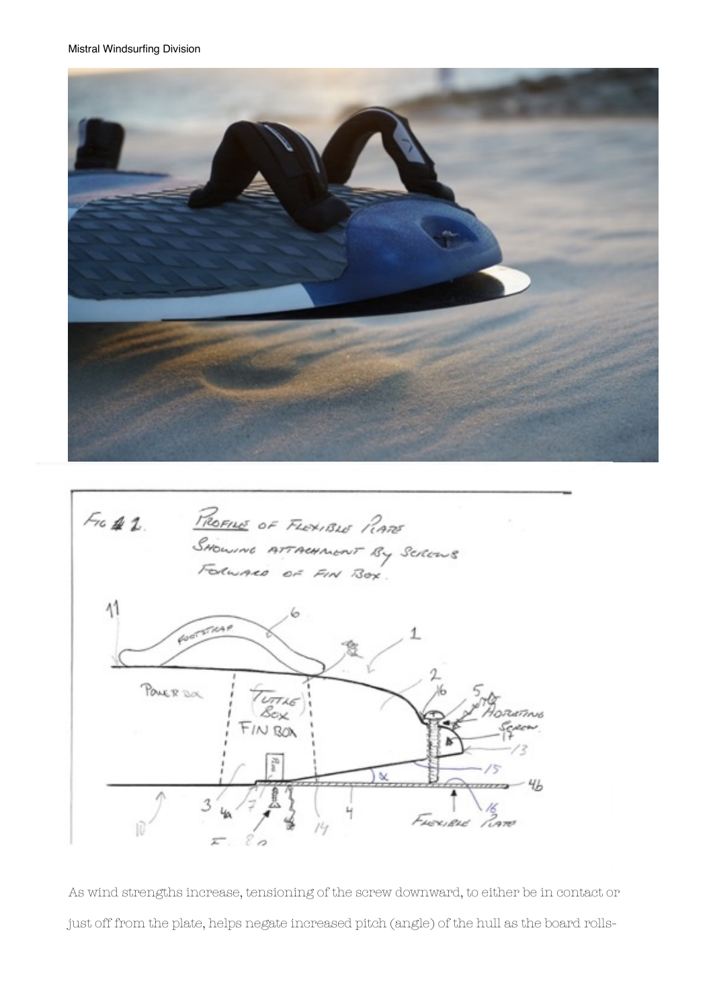



As wind strengths increase, tensioning of the screw downward, to either be in contact or just off from the plate, helps negate increased pitch (angle) of the hull as the board rolls-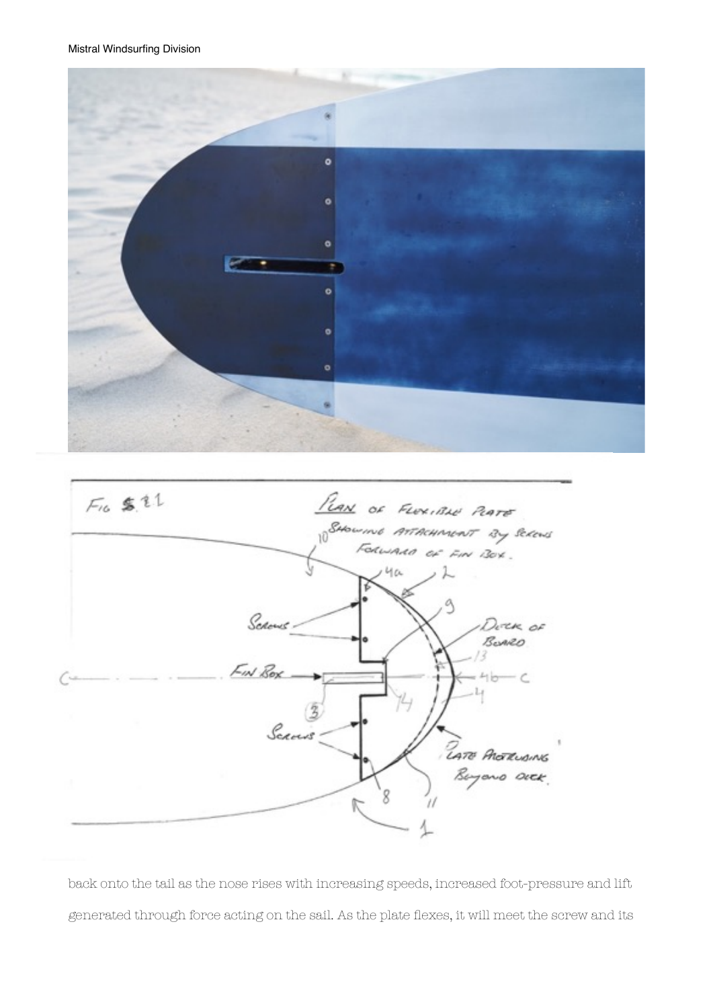



back onto the tail as the nose rises with increasing speeds, increased foot-pressure and lift generated through force acting on the sail. As the plate flexes, it will meet the screw and its